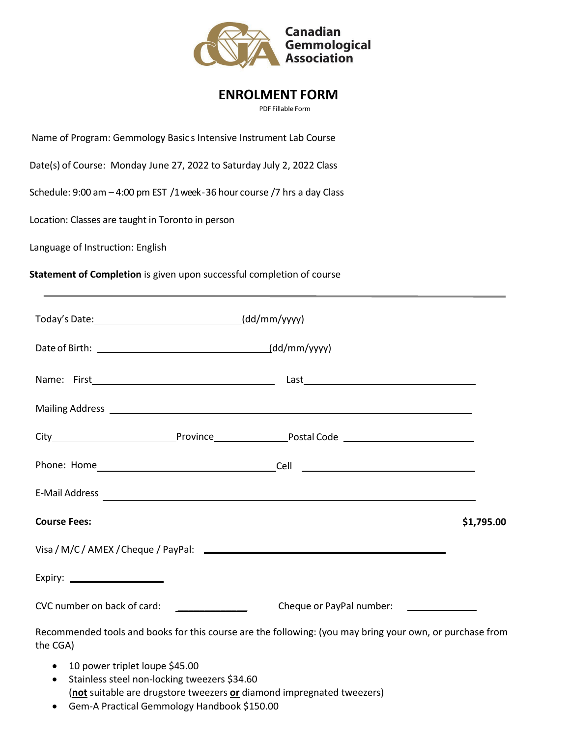

# **ENROLMENT FORM**

PDF Fillable Form

Name of Program: Gemmology Basic s Intensive Instrument Lab Course

Date(s) of Course: Monday June 27, 2022 to Saturday July 2, 2022 Class

Schedule: 9:00 am – 4:00 pm EST /1 week - 36 hour course /7 hrs a day Class

Location: Classes are taught in Toronto in person

Language of Instruction: English

**Statement of Completion** is given upon successful completion of course

|                                                                                    | Mailing Address <b>Mailing Address</b>                                                                   |            |
|------------------------------------------------------------------------------------|----------------------------------------------------------------------------------------------------------|------------|
|                                                                                    |                                                                                                          |            |
|                                                                                    |                                                                                                          |            |
|                                                                                    |                                                                                                          |            |
| <b>Course Fees:</b>                                                                |                                                                                                          | \$1,795.00 |
|                                                                                    |                                                                                                          |            |
| Expiry: $\qquad \qquad$                                                            |                                                                                                          |            |
| CVC number on back of card:                                                        | Cheque or PayPal number: _____________                                                                   |            |
| the CGA)                                                                           | Recommended tools and books for this course are the following: (you may bring your own, or purchase from |            |
| • 10 power triplet loupe \$45.00<br>• Stainless steel non-locking tweezers \$34.60 |                                                                                                          |            |

(**not** suitable are drugstore tweezers **or** diamond impregnated tweezers)

• Gem-A Practical Gemmology Handbook \$150.00